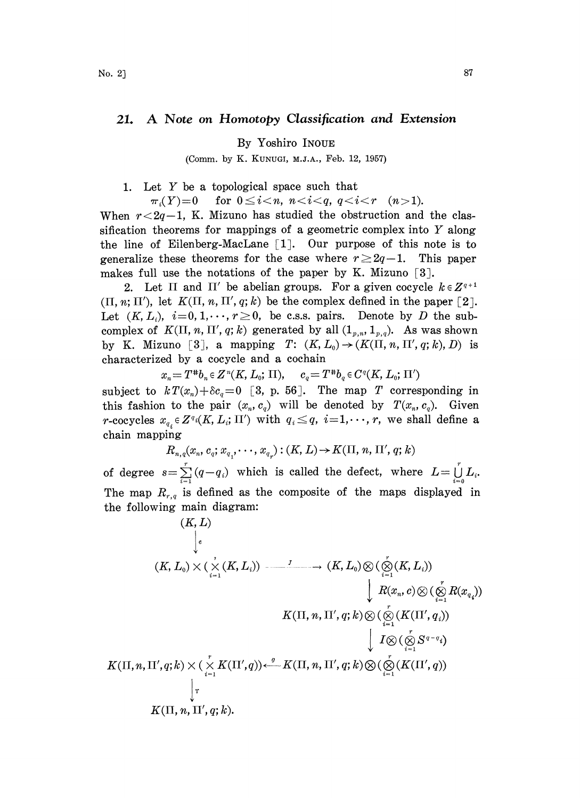## 21. A Note on Homotopy Classification and Extension

By Yoshiro INOUE

(Comm. by K. KUNUGI, M.J.A., Feb. 12, 1957)

1. Let Y be <sup>a</sup> topological space such that

 $\pi_i(Y)=0$  for  $0 \leq i \leq n$ ,  $n < i \leq q$ ,  $q < i \leq r$  (n > 1).

When  $r < 2q-1$ , K. Mizuno has studied the obstruction and the classification theorems for mappings of a geometric complex into  $Y$  along the line of Eilenberg-MacLane  $\lceil 1 \rceil$ . Our purpose of this note is to generalize these theorems for the case where  $r\geq 2q-1$ . This paper makes full use the notations of the paper by K. Mizuno  $\lceil 3 \rceil$ .

2. Let  $\Pi$  and  $\Pi'$  be abelian groups. For a given cocycle  $k \in \mathbb{Z}^{q+1}$  $(\Pi, n; \Pi')$ , let  $K(\Pi, n, \Pi', q; k)$  be the complex defined in the paper [2]. Let  $(K, L_i)$ ,  $i=0, 1, \dots, r\geq 0$ , be c.s.s. pairs. Denote by D the subcomplex of  $K(\Pi, n, \Pi', q; k)$  generated by all  $(1_{p,n}, 1_{p,q})$ . As was shown by K. Mizuno [3], a mapping T:  $(K, L_0) \rightarrow (K(\Pi, n, \Pi', q; k), D)$  is characterized by a cocycle and a cochain

 $x_n = T^{*}b_n \in Z^n(K, L_0; \Pi), \quad c_q = T^{*}b_q \in C^q(K, L_0; \Pi')$ subject to  $k T(x_n) + \delta c_q = 0$  [3, p. 56]. The map T corresponding in

this fashion to the pair  $(x_n, c_q)$  will be denoted by  $T(x_n, c_q)$ . Given r-cocycles  $x_{q_i} \in Z^{q_i}(K, L_i; \Pi')$  with  $q_i \leq q$ ,  $i=1,\dots, r$ , we shall define a chain mapping

$$
R_{n,q}(x_n, c_q; x_{q,1}, \cdots, x_{q_{\varphi}}): (K, L) {\rightarrow} K(\Pi, n, \Pi', q; k)
$$

of degree  $s=\sum_{i=1}^r(q-q_i)$  which is called the defect, where  $L=\bigcup_{i=0}^r L_i$ . The map  $R_{r,q}$  is defined as the composite of the maps displayed in the following main diagram:

$$
(K, L)
$$
\n
$$
\downarrow
$$
\n
$$
(K, L_0) \times (\chi(K, L_i)) \xrightarrow{\qquad \qquad J} \qquad \longrightarrow (K, L_0) \otimes (\bigotimes_{i=1}^{\delta} (K, L_i))
$$
\n
$$
\downarrow R(x_n, c) \otimes (\bigotimes_{i=1}^r R(x_{q_i}))
$$
\n
$$
K(\Pi, n, \Pi', q; k) \otimes (\bigotimes_{i=1}^r (K(\Pi', q_i))
$$
\n
$$
\downarrow I \otimes (\bigotimes_{i=1}^r S^{q-q_i})
$$
\n
$$
K(\Pi, n, \Pi', q; k) \times (\chi(K(\Pi', q)) \xleftarrow{\qquad \qquad J} K(\Pi, n, \Pi', q; k) \otimes (\bigotimes_{i=1}^r (K(\Pi', q))
$$
\n
$$
\downarrow \tau
$$
\n
$$
K(\Pi, n, \Pi', q; k).
$$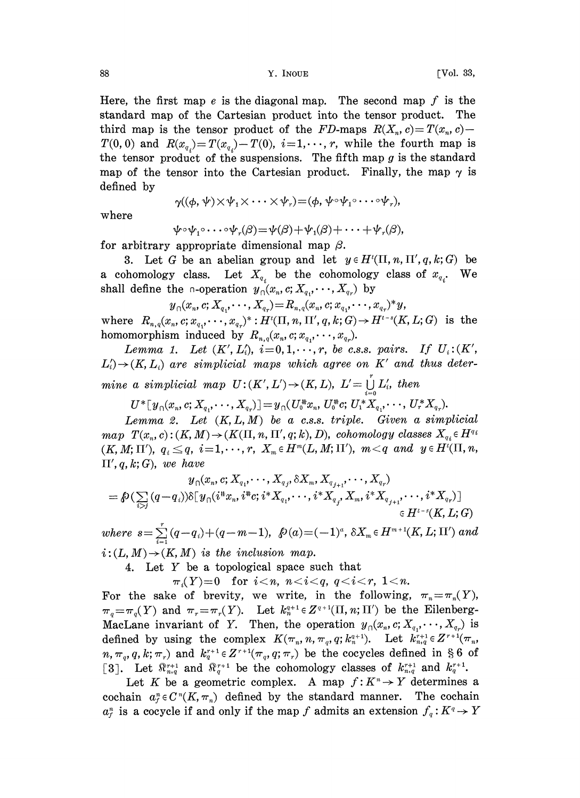Here, the first map  $e$  is the diagonal map. The second map  $f$  is the standard map of the Cartesian product into the tensor product. The third map is the tensor product of the FD-maps  $R(X_n, c) = T(x_n, c)$  $T(0, 0)$  and  $R(x_{q_i})=T(x_{q_i})-T(0), i=1,\dots, r$ , while the fourth map is the tensor product of the suspensions. The fifth map  $g$  is the standard map of the tensor into the Cartesian product. Finally, the map  $\gamma$  is defined by  $\gamma((\phi, \psi) \times \psi_1 \times \cdots \times \psi_r) = (\phi, \psi \circ \psi_1 \circ \cdots \circ \psi_r),$ 

$$
\gamma((\phi, \psi) \times \psi_1 \times \cdots \times \psi_r) \mathop{=}( \phi, \psi \circ \psi_1 \circ \cdots \circ \psi_r),
$$

where

$$
\psi \circ \psi_1 \circ \cdots \circ \psi_r(\beta) = \psi(\beta) + \psi_1(\beta) + \cdots + \psi_r(\beta),
$$

for arbitrary appropriate dimensional map  $\beta$ .

3. Let G be an abelian group and let  $y \in H^{t}(\Pi, n, \Pi', q, k; G)$  be a cohomology class. Let  $X_{q_i}$  be the cohomology class of  $x_{q_i}$ . We shall define the  $\alpha$ -operation  $y_{\alpha}(x_n, c; X_{q_1}, \dots, X_{q_r})$  by

$$
\textstyle y_{\cap}(x_n, c; X_{q_1}, \cdots, X_{q_r}) = R_{n,q}(x_n, c; x_{q_1}, \cdots, x_{q_r})^*y,
$$

where  $R_{n,q}(x_n, c; x_{q_1}, \dots, x_{q_r})^* : H^t(\Pi, n, \Pi', q, k; G) \to H^{t-s}(K, L; G)$  is the homomorphism induced by  $R_{n,q}(x_n,c;x_{q_1},\dots,x_{q_n}).$ 

Lemma 1. Let  $(K', L'_i)$ ,  $i=0, 1, \dots, r$ , be c.s.s. pairs. If  $U_i:(K',$  $L_i' \rightarrow (K, L_i)$  are simplicial maps which agree on K' and thus determine a simplicial map  $U:(K',L')\to (K,L), L'=\bigcup_{i=0}^l L'_i$ , then

 $U^*[\,y_{0}(x_n, c; X_a, \cdots, X_{a_r})\,] = y_{0}(U_0^*x_n, U_0^*c; U_1^*X_a, \cdots, U_r^*X_{a_r}).$ 

Lemma 2. Let  $(K, L, M)$  be a c.s.s. triple. Given a simplicial map  $T(x_n, c)$ :  $(K, M) \rightarrow (K(\Pi, n, \Pi', q; k), D)$ , cohomology classes  $X_{q_i} \in H^{q_i}$  $(K, M; \Pi'), \ q_i \leq q, \ i = 1, \cdots, r, \ X_m \in H^m(L, M; \Pi'), \ m < q \ and \ y \in H^t(\Pi, n),$  $\Pi', q, k; G$ , we have

$$
y_{\cap}(x_n, c; X_{q_1}, \cdots, X_{q_j}, \delta X_m, X_{q_{j+1}}, \cdots, X_{q_r})\\ = \beta \left( \sum_{i>j} (q-q_i) \right) \delta [\, y_{\cap} (i^{\texttt{\texttt{#}}} x_n, i^{\texttt{\texttt{#}}} c; i^{\texttt{\texttt{*}}} X_{q_1}, \cdots, i^{\texttt{\texttt{*}}} X_{q_j}, X_m, i^{\texttt{\texttt{*}}} X_{q_{j+1}}, \cdots, i^{\texttt{\texttt{*}}} X_{q_r}) ]\\ \in H^{t-s}(K, L; G)
$$

 $where \ \ s{=}\sum\limits_{i=1}^{r}(q{-}q_i){+}(q{-}m{-}1),\ \ \beta(a){=}(-1)^a,\,\delta X_m{\,\in\,}H^{m+1}(K,L;{\Pi}')\ and$  $i:(L, M) \rightarrow (K, M)$  is the inclusion map.

4. Let Y be <sup>a</sup> topological space such that

 $\pi_i(Y)=0$  for  $i \leq n$ ,  $n \leq i \leq q$ ,  $q \leq i \leq r$ ,  $1 \leq n$ .

For the sake of brevity, we write, in the following,  $\pi_n = \pi_n(Y)$ ,  $\pi_q=\pi_q(Y)$  and  $\pi_r=\pi_r(Y)$ . Let  $k_n^{q+1} \in Z^{q+1}(\Pi, n; \Pi')$  be the Eilenberg-MacLane invariant of Y. Then, the operation  $y_0(x_n, c; X_q, \dots, X_q)$  is defined by using the complex  $K(\pi_n, n, \pi_q, q; k_n^{q+1})$ . Let  $k_{n,q}^{r+1} \in Z^{r+1}(\pi_n, q)$  $n, \pi_q, q, k; \pi_r$  and  $k_q^{r+1} \in Z^{r+1}(\pi_q, q; \pi_r)$  be the cocycles defined in § 6 of [3]. Let  $\mathbb{R}_{n,q}^{r+1}$  and  $\mathbb{R}_{q}^{r+1}$  be the cohomology classes of  $k_{n,q}^{r+1}$  and  $k_{q}^{r+1}$ .

Let K be a geometric complex. A map  $f: K^n \to Y$  determines a cochain  $a_i^n \in C^n(K, \pi_n)$  defined by the standard manner. The cochain  $a_r^n$  is a cocycle if and only if the map f admits an extension  $f_q:K^q \to Y$